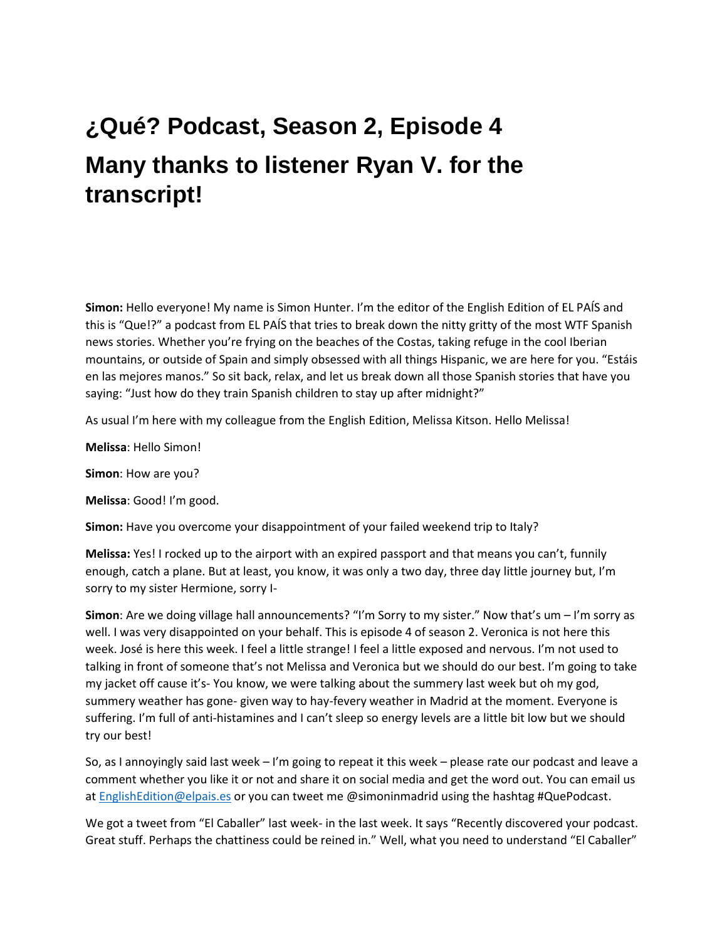# **¿Qué? Podcast, Season 2, Episode 4 Many thanks to listener Ryan V. for the transcript!**

**Simon:** Hello everyone! My name is Simon Hunter. I'm the editor of the English Edition of EL PAÍS and this is "Que!?" a podcast from EL PAÍS that tries to break down the nitty gritty of the most WTF Spanish news stories. Whether you're frying on the beaches of the Costas, taking refuge in the cool Iberian mountains, or outside of Spain and simply obsessed with all things Hispanic, we are here for you. "Estáis en las mejores manos." So sit back, relax, and let us break down all those Spanish stories that have you saying: "Just how do they train Spanish children to stay up after midnight?"

As usual I'm here with my colleague from the English Edition, Melissa Kitson. Hello Melissa!

**Melissa**: Hello Simon!

**Simon**: How are you?

**Melissa**: Good! I'm good.

**Simon:** Have you overcome your disappointment of your failed weekend trip to Italy?

**Melissa:** Yes! I rocked up to the airport with an expired passport and that means you can't, funnily enough, catch a plane. But at least, you know, it was only a two day, three day little journey but, I'm sorry to my sister Hermione, sorry I-

**Simon**: Are we doing village hall announcements? "I'm Sorry to my sister." Now that's um – I'm sorry as well. I was very disappointed on your behalf. This is episode 4 of season 2. Veronica is not here this week. José is here this week. I feel a little strange! I feel a little exposed and nervous. I'm not used to talking in front of someone that's not Melissa and Veronica but we should do our best. I'm going to take my jacket off cause it's- You know, we were talking about the summery last week but oh my god, summery weather has gone- given way to hay-fevery weather in Madrid at the moment. Everyone is suffering. I'm full of anti-histamines and I can't sleep so energy levels are a little bit low but we should try our best!

So, as I annoyingly said last week – I'm going to repeat it this week – please rate our podcast and leave a comment whether you like it or not and share it on social media and get the word out. You can email us a[t EnglishEdition@elpais.es](mailto:EnglishEdition@elpais.es) or you can tweet me @simoninmadrid using the hashtag #QuePodcast.

We got a tweet from "El Caballer" last week- in the last week. It says "Recently discovered your podcast. Great stuff. Perhaps the chattiness could be reined in." Well, what you need to understand "El Caballer"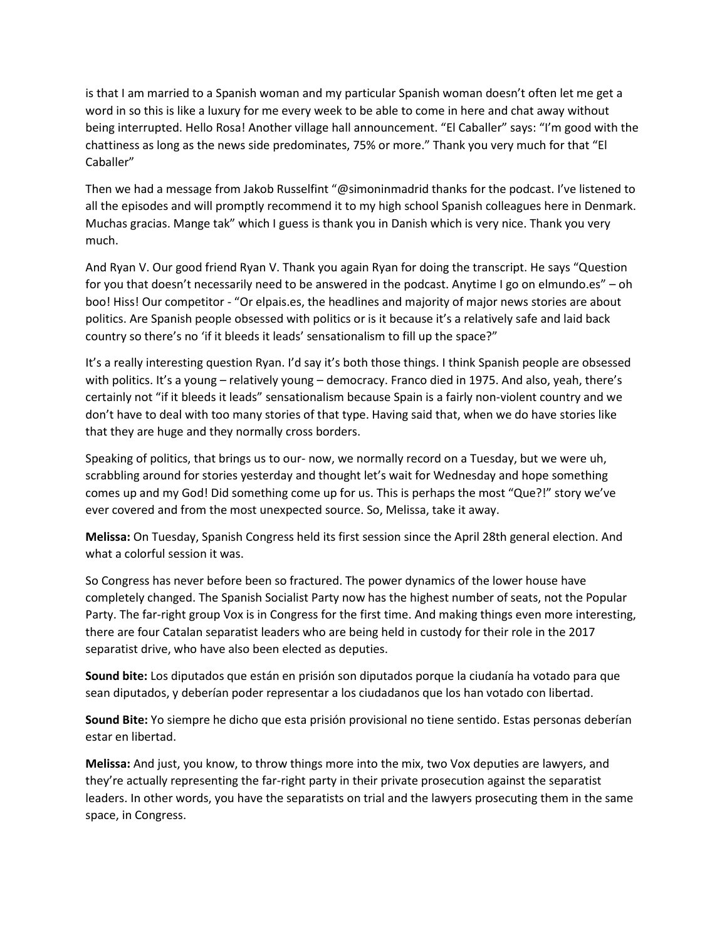is that I am married to a Spanish woman and my particular Spanish woman doesn't often let me get a word in so this is like a luxury for me every week to be able to come in here and chat away without being interrupted. Hello Rosa! Another village hall announcement. "El Caballer" says: "I'm good with the chattiness as long as the news side predominates, 75% or more." Thank you very much for that "El Caballer"

Then we had a message from Jakob Russelfint "@simoninmadrid thanks for the podcast. I've listened to all the episodes and will promptly recommend it to my high school Spanish colleagues here in Denmark. Muchas gracias. Mange tak" which I guess is thank you in Danish which is very nice. Thank you very much.

And Ryan V. Our good friend Ryan V. Thank you again Ryan for doing the transcript. He says "Question for you that doesn't necessarily need to be answered in the podcast. Anytime I go on elmundo.es" – oh boo! Hiss! Our competitor - "Or elpais.es, the headlines and majority of major news stories are about politics. Are Spanish people obsessed with politics or is it because it's a relatively safe and laid back country so there's no 'if it bleeds it leads' sensationalism to fill up the space?"

It's a really interesting question Ryan. I'd say it's both those things. I think Spanish people are obsessed with politics. It's a young – relatively young – democracy. Franco died in 1975. And also, yeah, there's certainly not "if it bleeds it leads" sensationalism because Spain is a fairly non-violent country and we don't have to deal with too many stories of that type. Having said that, when we do have stories like that they are huge and they normally cross borders.

Speaking of politics, that brings us to our- now, we normally record on a Tuesday, but we were uh, scrabbling around for stories yesterday and thought let's wait for Wednesday and hope something comes up and my God! Did something come up for us. This is perhaps the most "Que?!" story we've ever covered and from the most unexpected source. So, Melissa, take it away.

**Melissa:** On Tuesday, Spanish Congress held its first session since the April 28th general election. And what a colorful session it was.

So Congress has never before been so fractured. The power dynamics of the lower house have completely changed. The Spanish Socialist Party now has the highest number of seats, not the Popular Party. The far-right group Vox is in Congress for the first time. And making things even more interesting, there are four Catalan separatist leaders who are being held in custody for their role in the 2017 separatist drive, who have also been elected as deputies.

**Sound bite:** Los diputados que están en prisión son diputados porque la ciudanía ha votado para que sean diputados, y deberían poder representar a los ciudadanos que los han votado con libertad.

**Sound Bite:** Yo siempre he dicho que esta prisión provisional no tiene sentido. Estas personas deberían estar en libertad.

**Melissa:** And just, you know, to throw things more into the mix, two Vox deputies are lawyers, and they're actually representing the far-right party in their private prosecution against the separatist leaders. In other words, you have the separatists on trial and the lawyers prosecuting them in the same space, in Congress.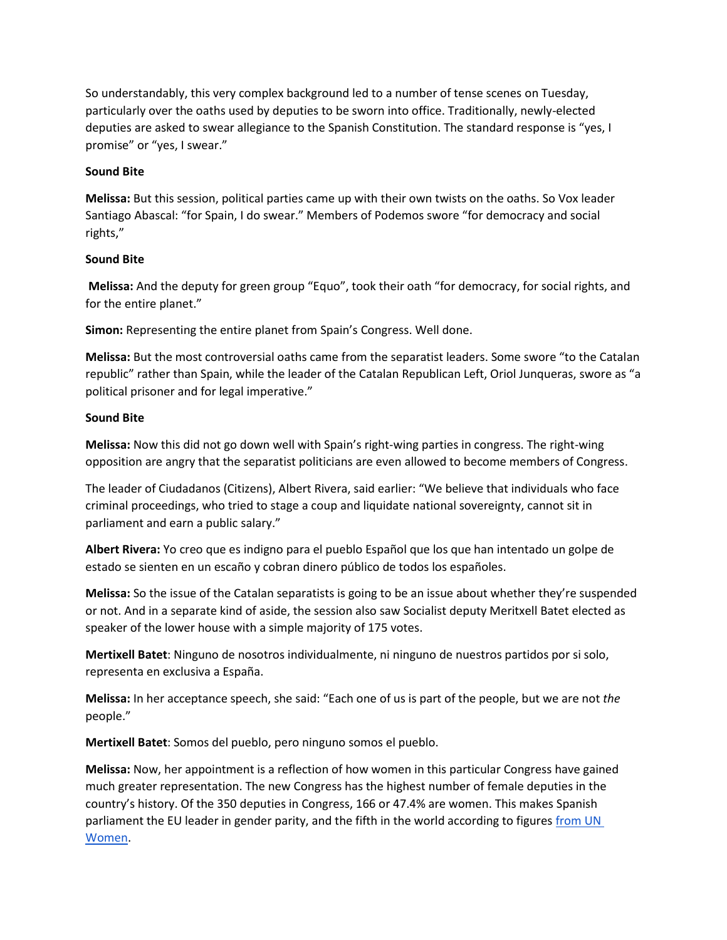So understandably, this very complex background led to a number of tense scenes on Tuesday, particularly over the oaths used by deputies to be sworn into office. Traditionally, newly-elected deputies are asked to swear allegiance to the Spanish Constitution. The standard response is "yes, I promise" or "yes, I swear."

### **Sound Bite**

**Melissa:** But this session, political parties came up with their own twists on the oaths. So Vox leader Santiago Abascal: "for Spain, I do swear." Members of Podemos swore "for democracy and social rights,"

### **Sound Bite**

**Melissa:** And the deputy for green group "Equo", took their oath "for democracy, for social rights, and for the entire planet."

**Simon:** Representing the entire planet from Spain's Congress. Well done.

**Melissa:** But the most controversial oaths came from the separatist leaders. Some swore "to the Catalan republic" rather than Spain, while the leader of the Catalan Republican Left, Oriol Junqueras, swore as "a political prisoner and for legal imperative."

### **Sound Bite**

**Melissa:** Now this did not go down well with Spain's right-wing parties in congress. The right-wing opposition are angry that the separatist politicians are even allowed to become members of Congress.

The leader of Ciudadanos (Citizens), Albert Rivera, said earlier: "We believe that individuals who face criminal proceedings, who tried to stage a coup and liquidate national sovereignty, cannot sit in parliament and earn a public salary."

**Albert Rivera:** Yo creo que es indigno para el pueblo Español que los que han intentado un golpe de estado se sienten en un escaño y cobran dinero público de todos los españoles.

**Melissa:** So the issue of the Catalan separatists is going to be an issue about whether they're suspended or not. And in a separate kind of aside, the session also saw Socialist deputy Meritxell Batet elected as speaker of the lower house with a simple majority of 175 votes.

**Mertixell Batet**: Ninguno de nosotros individualmente, ni ninguno de nuestros partidos por si solo, representa en exclusiva a España.

**Melissa:** In her acceptance speech, she said: "Each one of us is part of the people, but we are not *the* people."

**Mertixell Batet**: Somos del pueblo, pero ninguno somos el pueblo.

**Melissa:** Now, her appointment is a reflection of how women in this particular Congress have gained much greater representation. The new Congress has the highest number of female deputies in the country's history. Of the 350 deputies in Congress, 166 or 47.4% are women. This makes Spanish parliament the EU leader in gender parity, and the fifth in the world according to figure[s](https://elpais.com/elpais/2018/05/14/inenglish/1526297529_235372.html?rel=mas) from UN [Women.](https://elpais.com/elpais/2018/05/14/inenglish/1526297529_235372.html?rel=mas)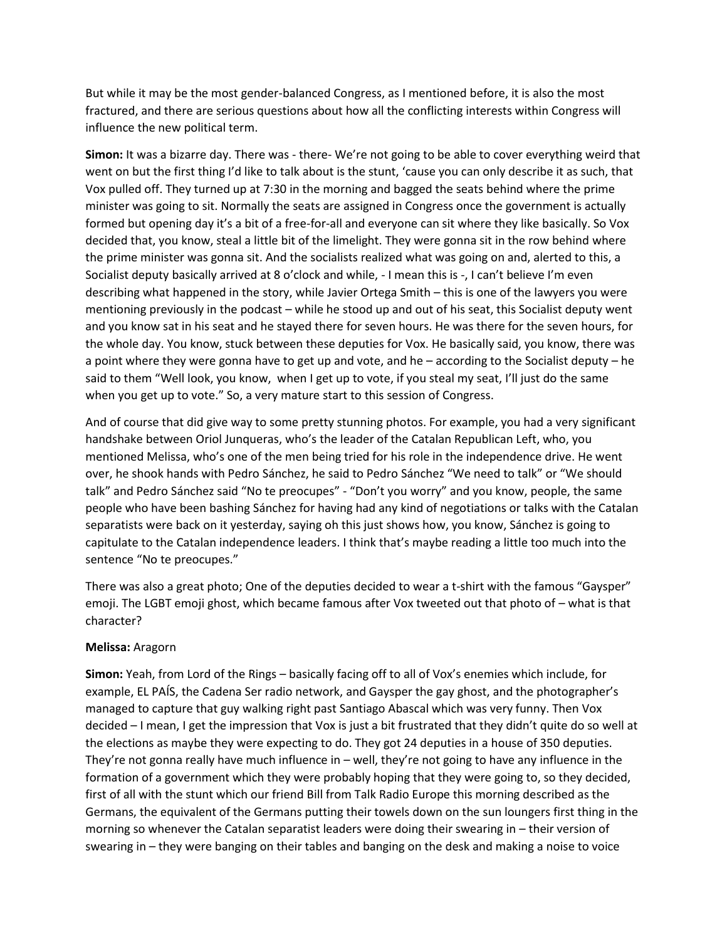But while it may be the most gender-balanced Congress, as I mentioned before, it is also the most fractured, and there are serious questions about how all the conflicting interests within Congress will influence the new political term.

**Simon:** It was a bizarre day. There was - there- We're not going to be able to cover everything weird that went on but the first thing I'd like to talk about is the stunt, 'cause you can only describe it as such, that Vox pulled off. They turned up at 7:30 in the morning and bagged the seats behind where the prime minister was going to sit. Normally the seats are assigned in Congress once the government is actually formed but opening day it's a bit of a free-for-all and everyone can sit where they like basically. So Vox decided that, you know, steal a little bit of the limelight. They were gonna sit in the row behind where the prime minister was gonna sit. And the socialists realized what was going on and, alerted to this, a Socialist deputy basically arrived at 8 o'clock and while, - I mean this is -, I can't believe I'm even describing what happened in the story, while Javier Ortega Smith – this is one of the lawyers you were mentioning previously in the podcast – while he stood up and out of his seat, this Socialist deputy went and you know sat in his seat and he stayed there for seven hours. He was there for the seven hours, for the whole day. You know, stuck between these deputies for Vox. He basically said, you know, there was a point where they were gonna have to get up and vote, and he – according to the Socialist deputy – he said to them "Well look, you know, when I get up to vote, if you steal my seat, I'll just do the same when you get up to vote." So, a very mature start to this session of Congress.

And of course that did give way to some pretty stunning photos. For example, you had a very significant handshake between Oriol Junqueras, who's the leader of the Catalan Republican Left, who, you mentioned Melissa, who's one of the men being tried for his role in the independence drive. He went over, he shook hands with Pedro Sánchez, he said to Pedro Sánchez "We need to talk" or "We should talk" and Pedro Sánchez said "No te preocupes" - "Don't you worry" and you know, people, the same people who have been bashing Sánchez for having had any kind of negotiations or talks with the Catalan separatists were back on it yesterday, saying oh this just shows how, you know, Sánchez is going to capitulate to the Catalan independence leaders. I think that's maybe reading a little too much into the sentence "No te preocupes."

There was also a great photo; One of the deputies decided to wear a t-shirt with the famous "Gaysper" emoji. The LGBT emoji ghost, which became famous after Vox tweeted out that photo of – what is that character?

# **Melissa:** Aragorn

**Simon:** Yeah, from Lord of the Rings – basically facing off to all of Vox's enemies which include, for example, EL PAÍS, the Cadena Ser radio network, and Gaysper the gay ghost, and the photographer's managed to capture that guy walking right past Santiago Abascal which was very funny. Then Vox decided – I mean, I get the impression that Vox is just a bit frustrated that they didn't quite do so well at the elections as maybe they were expecting to do. They got 24 deputies in a house of 350 deputies. They're not gonna really have much influence in – well, they're not going to have any influence in the formation of a government which they were probably hoping that they were going to, so they decided, first of all with the stunt which our friend Bill from Talk Radio Europe this morning described as the Germans, the equivalent of the Germans putting their towels down on the sun loungers first thing in the morning so whenever the Catalan separatist leaders were doing their swearing in – their version of swearing in – they were banging on their tables and banging on the desk and making a noise to voice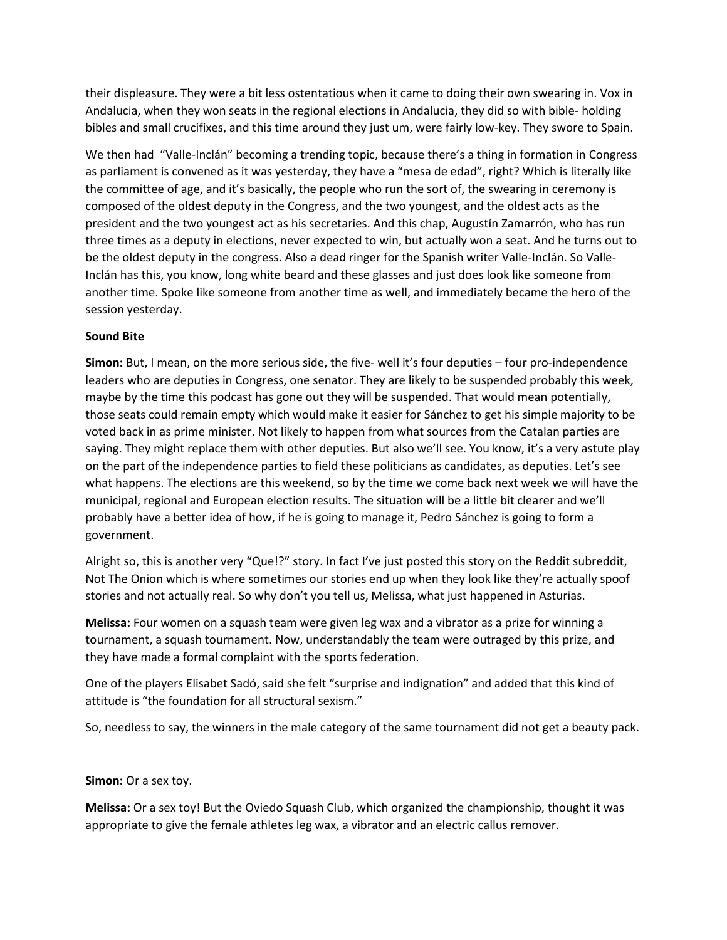their displeasure. They were a bit less ostentatious when it came to doing their own swearing in. Vox in Andalucia, when they won seats in the regional elections in Andalucia, they did so with bible- holding bibles and small crucifixes, and this time around they just um, were fairly low-key. They swore to Spain.

We then had "Valle-Inclán" becoming a trending topic, because there's a thing in formation in Congress as parliament is convened as it was yesterday, they have a "mesa de edad", right? Which is literally like the committee of age, and it's basically, the people who run the sort of, the swearing in ceremony is composed of the oldest deputy in the Congress, and the two youngest, and the oldest acts as the president and the two youngest act as his secretaries. And this chap, Augustín Zamarrón, who has run three times as a deputy in elections, never expected to win, but actually won a seat. And he turns out to be the oldest deputy in the congress. Also a dead ringer for the Spanish writer Valle-Inclán. So Valle-Inclán has this, you know, long white beard and these glasses and just does look like someone from another time. Spoke like someone from another time as well, and immediately became the hero of the session yesterday.

# **Sound Bite**

**Simon:** But, I mean, on the more serious side, the five- well it's four deputies – four pro-independence leaders who are deputies in Congress, one senator. They are likely to be suspended probably this week, maybe by the time this podcast has gone out they will be suspended. That would mean potentially, those seats could remain empty which would make it easier for Sánchez to get his simple majority to be voted back in as prime minister. Not likely to happen from what sources from the Catalan parties are saying. They might replace them with other deputies. But also we'll see. You know, it's a very astute play on the part of the independence parties to field these politicians as candidates, as deputies. Let's see what happens. The elections are this weekend, so by the time we come back next week we will have the municipal, regional and European election results. The situation will be a little bit clearer and we'll probably have a better idea of how, if he is going to manage it, Pedro Sánchez is going to form a government.

Alright so, this is another very "Que!?" story. In fact I've just posted this story on the Reddit subreddit, Not The Onion which is where sometimes our stories end up when they look like they're actually spoof stories and not actually real. So why don't you tell us, Melissa, what just happened in Asturias.

**Melissa:** Four women on a squash team were given leg wax and a vibrator as a prize for winning a tournament, a squash tournament. Now, understandably the team were outraged by this prize, and they have made a formal complaint with the sports federation.

One of the players Elisabet Sadó, said she felt "surprise and indignation" and added that this kind of attitude is "the foundation for all structural sexism."

So, needless to say, the winners in the male category of the same tournament did not get a beauty pack.

#### **Simon:** Or a sex toy.

**Melissa:** Or a sex toy! But the Oviedo Squash Club, which organized the championship, thought it was appropriate to give the female athletes leg wax, a vibrator and an electric callus remover.